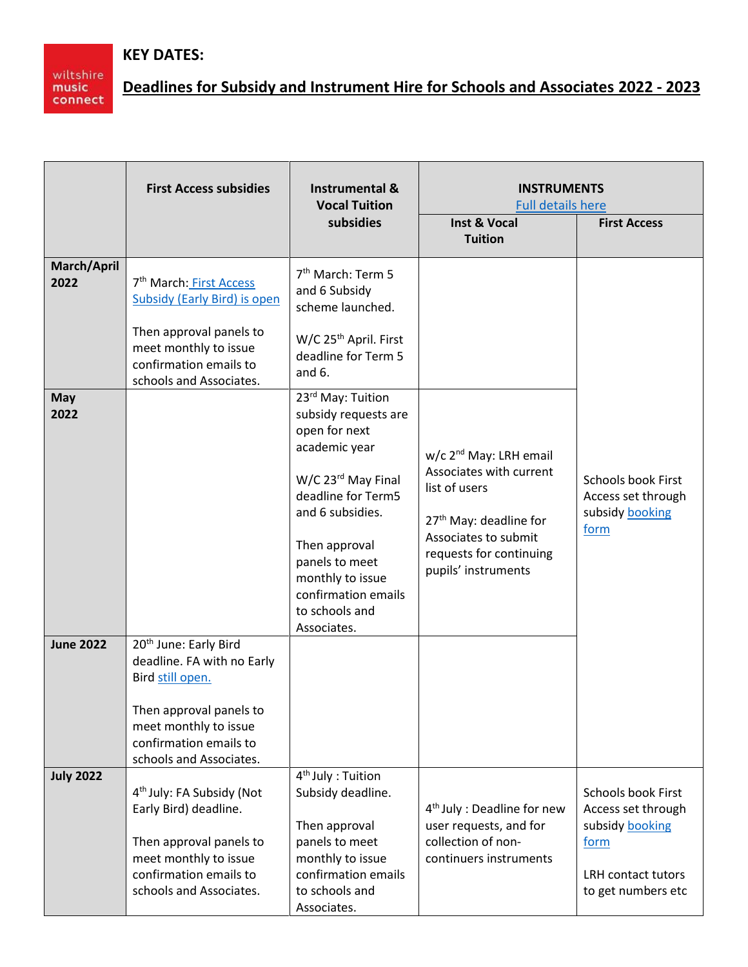## **KEY DATES:**

wiltshire<br>music<br>connect

## **Deadlines for Subsidy and Instrument Hire for Schools and Associates 2022 - 2023**

|                                 | <b>First Access subsidies</b>                                                                                                                                                       | <b>Instrumental &amp;</b><br><b>Vocal Tuition</b>                                                                                                                                                                                                                      | <b>INSTRUMENTS</b><br><b>Full details here</b>                                                                                                                                                 |                                                                                                                        |
|---------------------------------|-------------------------------------------------------------------------------------------------------------------------------------------------------------------------------------|------------------------------------------------------------------------------------------------------------------------------------------------------------------------------------------------------------------------------------------------------------------------|------------------------------------------------------------------------------------------------------------------------------------------------------------------------------------------------|------------------------------------------------------------------------------------------------------------------------|
|                                 |                                                                                                                                                                                     | subsidies                                                                                                                                                                                                                                                              | <b>Inst &amp; Vocal</b><br><b>Tuition</b>                                                                                                                                                      | <b>First Access</b>                                                                                                    |
| March/April<br>2022             | 7 <sup>th</sup> March: First Access<br><b>Subsidy (Early Bird) is open</b><br>Then approval panels to<br>meet monthly to issue<br>confirmation emails to<br>schools and Associates. | 7 <sup>th</sup> March: Term 5<br>and 6 Subsidy<br>scheme launched.<br>W/C 25 <sup>th</sup> April. First<br>deadline for Term 5<br>and $6.$                                                                                                                             |                                                                                                                                                                                                |                                                                                                                        |
| May<br>2022<br><b>June 2022</b> | 20 <sup>th</sup> June: Early Bird<br>deadline. FA with no Early<br>Bird still open.<br>Then approval panels to                                                                      | 23rd May: Tuition<br>subsidy requests are<br>open for next<br>academic year<br>W/C 23 <sup>rd</sup> May Final<br>deadline for Term5<br>and 6 subsidies.<br>Then approval<br>panels to meet<br>monthly to issue<br>confirmation emails<br>to schools and<br>Associates. | w/c 2 <sup>nd</sup> May: LRH email<br>Associates with current<br>list of users<br>27 <sup>th</sup> May: deadline for<br>Associates to submit<br>requests for continuing<br>pupils' instruments | <b>Schools book First</b><br>Access set through<br>subsidy booking<br>form                                             |
|                                 | meet monthly to issue<br>confirmation emails to<br>schools and Associates.                                                                                                          |                                                                                                                                                                                                                                                                        |                                                                                                                                                                                                |                                                                                                                        |
| <b>July 2022</b>                | 4 <sup>th</sup> July: FA Subsidy (Not<br>Early Bird) deadline.<br>Then approval panels to<br>meet monthly to issue<br>confirmation emails to<br>schools and Associates.             | 4 <sup>th</sup> July : Tuition<br>Subsidy deadline.<br>Then approval<br>panels to meet<br>monthly to issue<br>confirmation emails<br>to schools and<br>Associates.                                                                                                     | 4 <sup>th</sup> July : Deadline for new<br>user requests, and for<br>collection of non-<br>continuers instruments                                                                              | <b>Schools book First</b><br>Access set through<br>subsidy booking<br>form<br>LRH contact tutors<br>to get numbers etc |